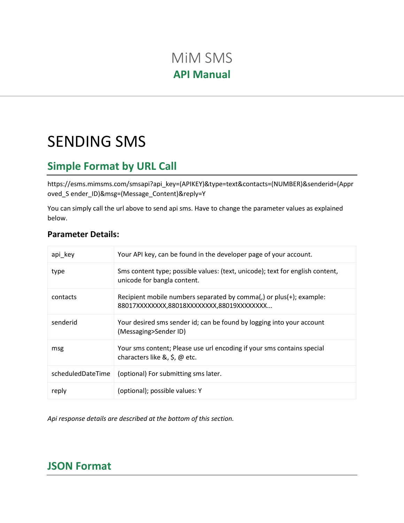# MiM SMS **API Manual**

# SENDING SMS

# **Simple Format by URL Call**

https://esms.mimsms.com/smsapi?api\_key=(APIKEY)&type=text&contacts=(NUMBER)&senderid=(Appr oved\_S ender\_ID)&msg=(Message\_Content)&reply=Y

You can simply call the url above to send api sms. Have to change the parameter values as explained below.

| <b>Parameter Details:</b> |  |
|---------------------------|--|
|---------------------------|--|

| api key           | Your API key, can be found in the developer page of your account.                                                 |
|-------------------|-------------------------------------------------------------------------------------------------------------------|
| type              | Sms content type; possible values: (text, unicode); text for english content,<br>unicode for bangla content.      |
| contacts          | Recipient mobile numbers separated by comma(,) or plus(+); example:<br>88017XXXXXXX,88018XXXXXXX,88019XXXXXXXX    |
| senderid          | Your desired sms sender id; can be found by logging into your account<br>(Messaging>Sender ID)                    |
| msg               | Your sms content; Please use url encoding if your sms contains special<br>characters like $\&$ , $\&$ , $\&$ etc. |
| scheduledDateTime | (optional) For submitting sms later.                                                                              |
| reply             | (optional); possible values: Y                                                                                    |

*Api response details are described at the bottom of this section.*

# **JSON Format**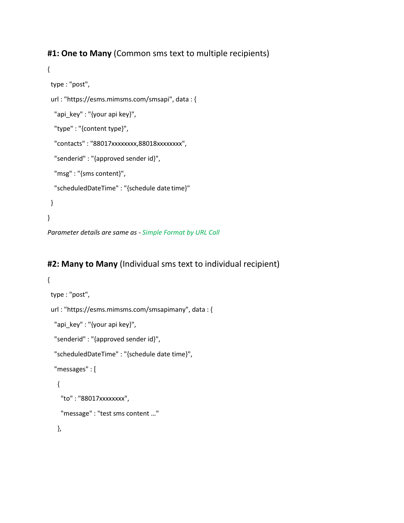#### **#1: One to Many** (Common sms text to multiple recipients)

```
{
 type : "post",
 url : "https://esms.mimsms.com/smsapi", data : {
  "api_key" : "{your api key}",
  "type" : "{content type}",
  "contacts" : "88017xxxxxxxx,88018xxxxxxxx", 
  "senderid" : "{approved sender id}",
  "msg" : "{sms content}", 
  "scheduledDateTime" : "{schedule date time}"
 }
}
```
*Parameter details are same as - Simple Format by URL Call*

#### **#2: Many to Many** (Individual sms text to individual recipient)

```
{
 type : "post",
 url : "https://esms.mimsms.com/smsapimany", data : {
  "api_key" : "{your api key}", 
  "senderid" : "{approved sender id}",
  "scheduledDateTime" : "{schedule date time}", 
  "messages" : [
   {
    "to" : "88017xxxxxxxx",
    "message" : "test sms content …"
   },
```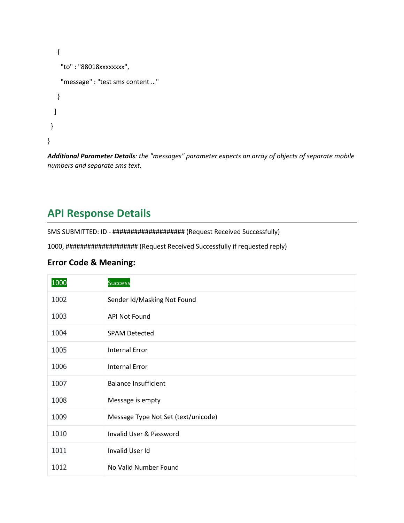```
{
    "to" : "88018xxxxxxxx",
    "message" : "test sms content …"
   }
  ]
 }
}
```
*Additional Parameter Details: the "messages" parameter expects an array of objects of separate mobile numbers and separate sms text.*

# **API Response Details**

SMS SUBMITTED: ID - #################### (Request Received Successfully)

1000, #################### (Request Received Successfully if requested reply)

#### **Error Code & Meaning:**

| 1000 | <b>Success</b>                      |
|------|-------------------------------------|
| 1002 | Sender Id/Masking Not Found         |
| 1003 | <b>API Not Found</b>                |
| 1004 | <b>SPAM Detected</b>                |
| 1005 | <b>Internal Error</b>               |
| 1006 | <b>Internal Error</b>               |
| 1007 | <b>Balance Insufficient</b>         |
| 1008 | Message is empty                    |
| 1009 | Message Type Not Set (text/unicode) |
| 1010 | Invalid User & Password             |
| 1011 | Invalid User Id                     |
| 1012 | No Valid Number Found               |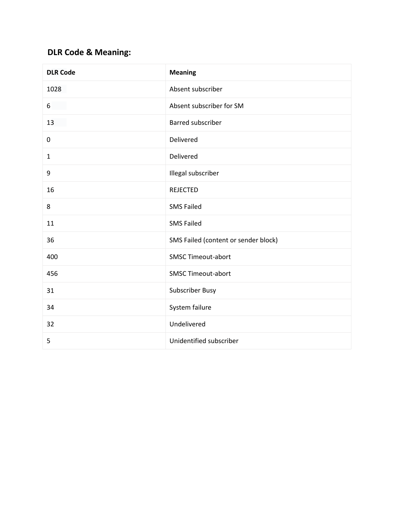#### **DLR Code & Meaning:**

| <b>DLR Code</b> | <b>Meaning</b>                       |
|-----------------|--------------------------------------|
| 1028            | Absent subscriber                    |
| 6               | Absent subscriber for SM             |
| 13              | Barred subscriber                    |
| 0               | Delivered                            |
| $\mathbf{1}$    | Delivered                            |
| 9               | Illegal subscriber                   |
| 16              | <b>REJECTED</b>                      |
| 8               | <b>SMS Failed</b>                    |
| 11              | <b>SMS Failed</b>                    |
| 36              | SMS Failed (content or sender block) |
| 400             | <b>SMSC Timeout-abort</b>            |
| 456             | <b>SMSC Timeout-abort</b>            |
| 31              | Subscriber Busy                      |
| 34              | System failure                       |
| 32              | Undelivered                          |
| 5               | Unidentified subscriber              |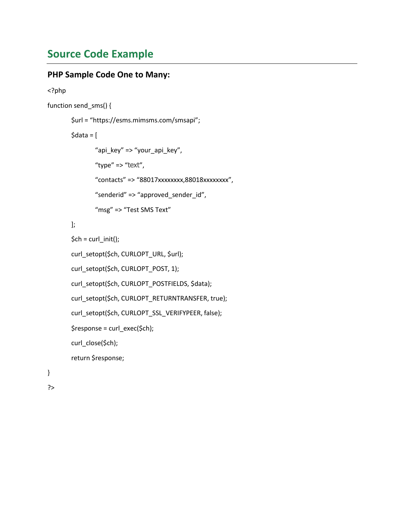## **Source Code Example**

#### **PHP Sample Code One to Many:**

```
<?php
function send_sms() {
        $url = "https://esms.mimsms.com/smsapi";
        \text{6}data = \text{6}"api_key" => "your_api_key", 
               "type" => "text",
               "contacts" => "88017xxxxxxxx,88018xxxxxxxx", 
               "senderid" => "approved_sender_id",
               "msg" => "Test SMS Text"
       ];
        $ch = curl_init();
        curl_setopt($ch, CURLOPT_URL, $url); 
        curl_setopt($ch, CURLOPT_POST, 1); 
        curl_setopt($ch, CURLOPT_POSTFIELDS, $data);
        curl_setopt($ch, CURLOPT_RETURNTRANSFER, true); 
        curl_setopt($ch, CURLOPT_SSL_VERIFYPEER, false);
```

```
$response = curl_exec($ch);
```
curl\_close(\$ch);

return \$response;

```
}
```
?>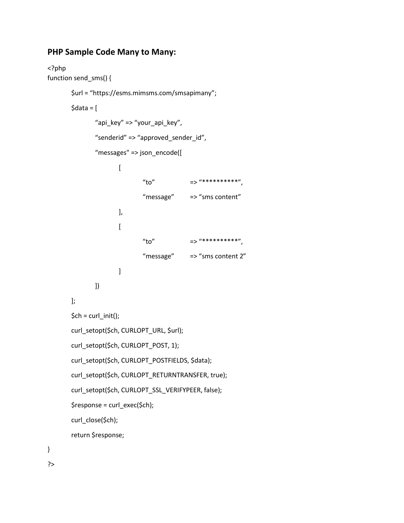#### **PHP Sample Code Many to Many:**

```
<?php
function send_sms() {
       $url = "https://esms.mimsms.com/smsapimany";
       $data = ["api_key" => "your_api_key", 
               "senderid" => "approved_sender_id", 
               "messages" => json_encode([
                       \overline{[}"to" \Rightarrow "**********",
                               "message" => "sms content"
                       ], 
                       \overline{[}"to" \Rightarrow "**********",
                               "message" => "sms content 2"
                       ]
               ])
       ];
       $ch = curl_init();
       curl_setopt($ch, CURLOPT_URL, $url); 
       curl_setopt($ch, CURLOPT_POST, 1); 
       curl_setopt($ch, CURLOPT_POSTFIELDS, $data);
       curl_setopt($ch, CURLOPT_RETURNTRANSFER, true); 
       curl_setopt($ch, CURLOPT_SSL_VERIFYPEER, false);
       $response = curl_exec($ch); 
       curl_close($ch);
       return $response;
```

```
}
```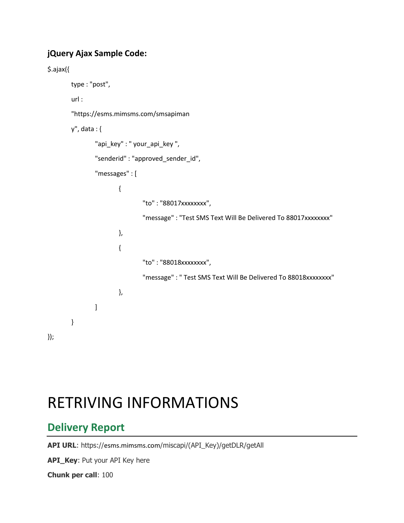#### **jQuery Ajax Sample Code:**

```
$.ajax({
        type : "post",
        url : 
        "https://esms.mimsms.com/smsapiman
       y", data : {
                "api_key" : " your_api_key ", 
                "senderid" : "approved_sender_id", 
                "messages" : [
                        {
                                "to" : "88017xxxxxxxx",
                                "message" : "Test SMS Text Will Be Delivered To 88017xxxxxxxx"
                        },
                        {
                                "to" : "88018xxxxxxxx",
                                "message" : " Test SMS Text Will Be Delivered To 88018xxxxxxxx"
                        },
                ]
        }
});
```
# RETRIVING INFORMATIONS

# **Delivery Report**

**API URL**: https://esms.mimsms.com/miscapi/(API\_Key)/getDLR/getAll

**API\_Key**: Put your API Key here

**Chunk per call**: 100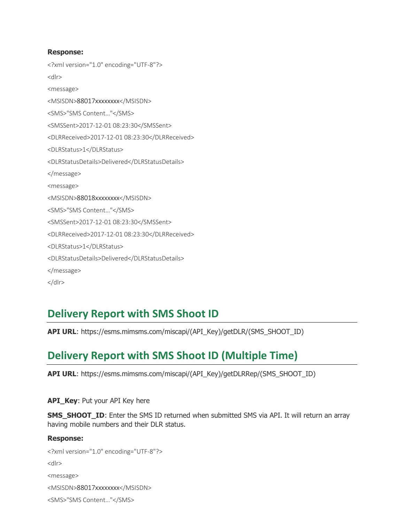#### **Response:**

<?xml version="1.0" encoding="UTF-8"?> <dlr> <message> <MSISDN>88017xxxxxxxx</MSISDN> <SMS>"SMS Content…"</SMS> <SMSSent>2017-12-01 08:23:30</SMSSent> <DLRReceived>2017-12-01 08:23:30</DLRReceived> <DLRStatus>1</DLRStatus> <DLRStatusDetails>Delivered</DLRStatusDetails> </message> <message> <MSISDN>88018xxxxxxxx</MSISDN> <SMS>"SMS Content…"</SMS> <SMSSent>2017-12-01 08:23:30</SMSSent> <DLRReceived>2017-12-01 08:23:30</DLRReceived> <DLRStatus>1</DLRStatus> <DLRStatusDetails>Delivered</DLRStatusDetails> </message> </dlr>

# **Delivery Report with SMS Shoot ID**

**API URL**: https://esms.mimsms.com/miscapi/(API\_Key)/getDLR/(SMS\_SHOOT\_ID)

# **Delivery Report with SMS Shoot ID (Multiple Time)**

**API URL**: https://esms.mimsms.com/miscapi/(API\_Key)/getDLRRep/(SMS\_SHOOT\_ID)

**API Key: Put your API Key here** 

**SMS\_SHOOT\_ID:** Enter the SMS ID returned when submitted SMS via API. It will return an array having mobile numbers and their DLR status.

#### **Response:**

<?xml version="1.0" encoding="UTF-8"?> <dlr> <message> <MSISDN>88017xxxxxxxx</MSISDN> <SMS>"SMS Content…"</SMS>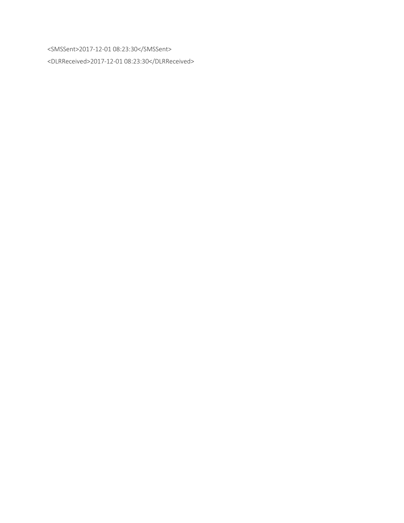<SMSSent>2017-12-01 08:23:30</SMSSent>

<DLRReceived>2017-12-01 08:23:30</DLRReceived>